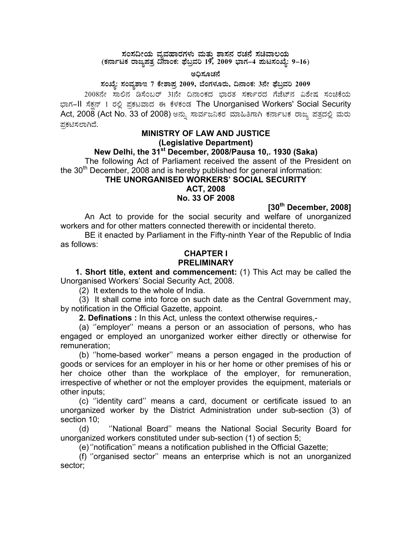# $\star$ ರಸದೀಯ ವ್ಯವಹಾರಗಳು ಮತ್ತು ಶಾಸನ ರಚನೆ ಸಚಿವಾಲಯ<br>(ಕರ್ನಾಟಕ ರಾಜ್ಯಪತ್ರ ದಿನಾಂಕ: ಫೆಬ್ರವರಿ 19, 2009 ಭಾಗ–4 **ಮಟಸಂಖ್ಯೆ: 9–16**)

#### ಅಧಿಸೂಚನೆ

#### **¸ÀASÉå: ¸ÀAªÀå±ÁE 7 PÉñÁ¥Àæ 2009, ¨ÉAUÀ¼ÀÆgÀÄ, ¢£ÁAPÀ: 3£Éà ¥sɧæªÀj 2009**

2008ನೇ ಸಾಲಿನ ಡಿಸೆಂಬರ್ 31ನೇ ದಿನಾಂಕದ ಭಾರತ ಸರ್ಕಾರದ ಗೆಜೆಟ್ನ ವಿಶೇಷ ಸಂಚಿಕೆಯ ಭಾಗ–II ಸೆಕ್ಷನ್ 1 ರಲ್ಲಿ ಪ್ರಕಟವಾದ ಈ ಕೆಳಕಂಡ The Unorganised Workers' Social Security Act, 2008 (Act No. 33 of 2008) ಅನ್ನು ಸಾರ್ವಜನಿಕರ ಮಾಹಿತಿಗಾಗಿ ಕರ್ನಾಟಕ ರಾಜ್ಯ ಪತ್ರದಲ್ಲಿ ಮರು ಪ್ರಕಟಿಸಲಾಗಿದೆ.

## **MINISTRY OF LAW AND JUSTICE (Legislative Department)**

## **New Delhi, the 31st December, 2008/Pausa 10,. 1930 (Saka)**

 The following Act of Parliament received the assent of the President on the  $30<sup>th</sup>$  December, 2008 and is hereby published for general information:

#### **THE UNORGANISED WORKERS' SOCIAL SECURITY ACT, 2008**

**No. 33 OF 2008** 

**[30th December, 2008]** 

 An Act to provide for the social security and welfare of unorganized workers and for other matters connected therewith or incidental thereto.

 BE it enacted by Parliament in the Fifty-ninth Year of the Republic of India as follows:

### **CHAPTER I PRELIMINARY**

 **1. Short title, extent and commencement:** (1) This Act may be called the Unorganised Workers' Social Security Act, 2008.

(2) It extends to the whole of India.

 (3) It shall come into force on such date as the Central Government may, by notification in the Official Gazette, appoint.

 **2. Definations :** In this Act, unless the context otherwise requires,-

 (a) ''employer'' means a person or an association of persons, who has engaged or employed an unorganized worker either directly or otherwise for remuneration;

 (b) ''home-based worker'' means a person engaged in the production of goods or services for an employer in his or her home or other premises of his or her choice other than the workplace of the employer, for remuneration, irrespective of whether or not the employer provides the equipment, materials or other inputs;

 (c) ''identity card'' means a card, document or certificate issued to an unorganized worker by the District Administration under sub-section (3) of section 10;

 (d) ''National Board'' means the National Social Security Board for unorganized workers constituted under sub-section (1) of section 5;

(e) ''notification'' means a notification published in the Official Gazette;

 (f) ''organised sector'' means an enterprise which is not an unorganized sector;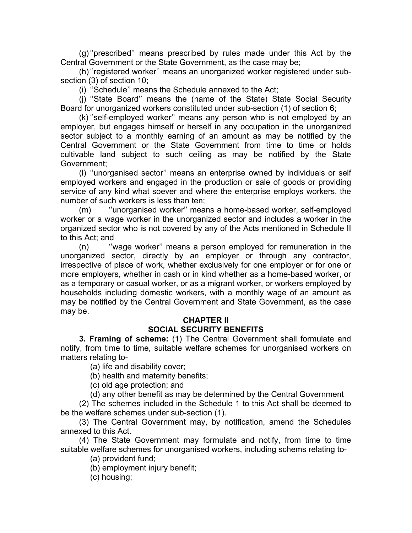(g) ''prescribed'' means prescribed by rules made under this Act by the Central Government or the State Government, as the case may be;

 (h) ''registered worker'' means an unorganized worker registered under subsection (3) of section 10;

(i) ''Schedule'' means the Schedule annexed to the Act;

 (j) ''State Board'' means the (name of the State) State Social Security Board for unorganized workers constituted under sub-section (1) of section 6;

 (k) ''self-employed worker'' means any person who is not employed by an employer, but engages himself or herself in any occupation in the unorganized sector subject to a monthly earning of an amount as may be notified by the Central Government or the State Government from time to time or holds cultivable land subject to such ceiling as may be notified by the State Government;

 (l) ''unorganised sector'' means an enterprise owned by individuals or self employed workers and engaged in the production or sale of goods or providing service of any kind what soever and where the enterprise employs workers, the number of such workers is less than ten;

 (m) ''unorganised worker'' means a home-based worker, self-employed worker or a wage worker in the unorganized sector and includes a worker in the organized sector who is not covered by any of the Acts mentioned in Schedule II to this Act; and

 (n) ''wage worker'' means a person employed for remuneration in the unorganized sector, directly by an employer or through any contractor, irrespective of place of work, whether exclusively for one employer or for one or more employers, whether in cash or in kind whether as a home-based worker, or as a temporary or casual worker, or as a migrant worker, or workers employed by households including domestic workers, with a monthly wage of an amount as may be notified by the Central Government and State Government, as the case may be.

#### **CHAPTER II SOCIAL SECURITY BENEFITS**

 **3. Framing of scheme:** (1) The Central Government shall formulate and notify, from time to time, suitable welfare schemes for unorganised workers on matters relating to-

(a) life and disability cover;

(b) health and maternity benefits;

(c) old age protection; and

(d) any other benefit as may be determined by the Central Government

 (2) The schemes included in the Schedule 1 to this Act shall be deemed to be the welfare schemes under sub-section (1).

 (3) The Central Government may, by notification, amend the Schedules annexed to this Act.

 (4) The State Government may formulate and notify, from time to time suitable welfare schemes for unorganised workers, including schems relating to-

(a) provident fund;

(b) employment injury benefit;

(c) housing;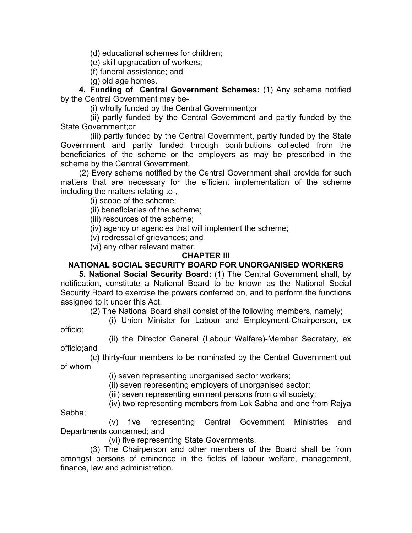(d) educational schemes for children;

(e) skill upgradation of workers;

(f) funeral assistance; and

(g) old age homes.

**4. Funding of Central Government Schemes:** (1) Any scheme notified by the Central Government may be-

(i) wholly funded by the Central Government;or

 (ii) partly funded by the Central Government and partly funded by the State Government;or

 (iii) partly funded by the Central Government, partly funded by the State Government and partly funded through contributions collected from the beneficiaries of the scheme or the employers as may be prescribed in the scheme by the Central Government.

 (2) Every scheme notified by the Central Government shall provide for such matters that are necessary for the efficient implementation of the scheme including the matters relating to-,

(i) scope of the scheme;

officio;

Sabha;

(ii) beneficiaries of the scheme;

(iii) resources of the scheme;

(iv) agency or agencies that will implement the scheme;

(v) redressal of grievances; and

(vi) any other relevant matter.

#### **CHAPTER III**

## **NATIONAL SOCIAL SECURITY BOARD FOR UNORGANISED WORKERS**

 **5. National Social Security Board:** (1) The Central Government shall, by notification, constitute a National Board to be known as the National Social Security Board to exercise the powers conferred on, and to perform the functions assigned to it under this Act.

(2) The National Board shall consist of the following members, namely;

(i) Union Minister for Labour and Employment-Chairperson, ex

 (ii) the Director General (Labour Welfare)-Member Secretary, ex officio;and

 (c) thirty-four members to be nominated by the Central Government out of whom

(i) seven representing unorganised sector workers;

(ii) seven representing employers of unorganised sector;

(iii) seven representing eminent persons from civil society;

(iv) two representing members from Lok Sabha and one from Rajya

 (v) five representing Central Government Ministries and Departments concerned; and

(vi) five representing State Governments.

 (3) The Chairperson and other members of the Board shall be from amongst persons of eminence in the fields of labour welfare, management, finance, law and administration.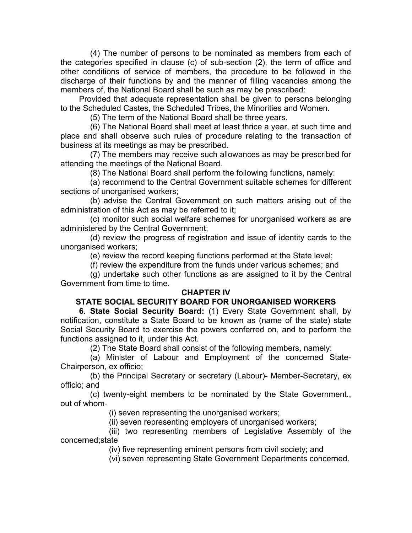(4) The number of persons to be nominated as members from each of the categories specified in clause (c) of sub-section (2), the term of office and other conditions of service of members, the procedure to be followed in the discharge of their functions by and the manner of filling vacancies among the members of, the National Board shall be such as may be prescribed:

 Provided that adequate representation shall be given to persons belonging to the Scheduled Castes, the Scheduled Tribes, the Minorities and Women.

(5) The term of the National Board shall be three years.

 (6) The National Board shall meet at least thrice a year, at such time and place and shall observe such rules of procedure relating to the transaction of business at its meetings as may be prescribed.

 (7) The members may receive such allowances as may be prescribed for attending the meetings of the National Board.

(8) The National Board shall perform the following functions, namely:

 (a) recommend to the Central Government suitable schemes for different sections of unorganised workers;

 (b) advise the Central Government on such matters arising out of the administration of this Act as may be referred to it;

 (c) monitor such social welfare schemes for unorganised workers as are administered by the Central Government;

 (d) review the progress of registration and issue of identity cards to the unorganised workers;

(e) review the record keeping functions performed at the State level;

(f) review the expenditure from the funds under various schemes; and

 (g) undertake such other functions as are assigned to it by the Central Government from time to time.

#### **CHAPTER IV**

# **STATE SOCIAL SECURITY BOARD FOR UNORGANISED WORKERS**

**6. State Social Security Board:** (1) Every State Government shall, by notification, constitute a State Board to be known as (name of the state) state Social Security Board to exercise the powers conferred on, and to perform the functions assigned to it, under this Act.

(2) The State Board shall consist of the following members, namely:

 (a) Minister of Labour and Employment of the concerned State-Chairperson, ex officio;

 (b) the Principal Secretary or secretary (Labour)- Member-Secretary, ex officio; and

 (c) twenty-eight members to be nominated by the State Government., out of whom-

(i) seven representing the unorganised workers;

(ii) seven representing employers of unorganised workers;

 (iii) two representing members of Legislative Assembly of the concerned;state

(iv) five representing eminent persons from civil society; and

(vi) seven representing State Government Departments concerned.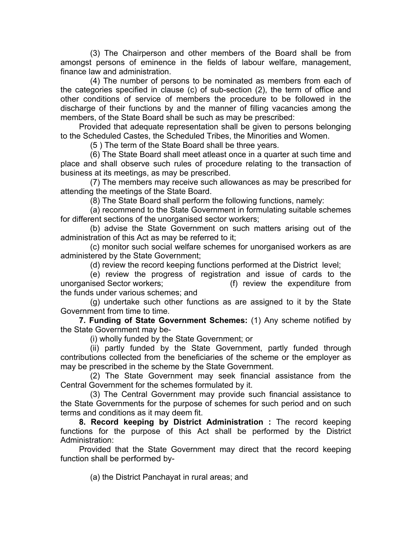(3) The Chairperson and other members of the Board shall be from amongst persons of eminence in the fields of labour welfare, management, finance law and administration.

 (4) The number of persons to be nominated as members from each of the categories specified in clause (c) of sub-section (2), the term of office and other conditions of service of members the procedure to be followed in the discharge of their functions by and the manner of filling vacancies among the members, of the State Board shall be such as may be prescribed:

 Provided that adequate representation shall be given to persons belonging to the Scheduled Castes, the Scheduled Tribes, the Minorities and Women.

(5 ) The term of the State Board shall be three years.

 (6) The State Board shall meet atleast once in a quarter at such time and place and shall observe such rules of procedure relating to the transaction of business at its meetings, as may be prescribed.

 (7) The members may receive such allowances as may be prescribed for attending the meetings of the State Board.

(8) The State Board shall perform the following functions, namely:

 (a) recommend to the State Government in formulating suitable schemes for different sections of the unorganised sector workers;

 (b) advise the State Government on such matters arising out of the administration of this Act as may be referred to it;

 (c) monitor such social welfare schemes for unorganised workers as are administered by the State Government;

(d) review the record keeping functions performed at the District level;

 (e) review the progress of registration and issue of cards to the unorganised Sector workers; (f) review the expenditure from the funds under various schemes; and

 (g) undertake such other functions as are assigned to it by the State Government from time to time.

**7. Funding of State Government Schemes:** (1) Any scheme notified by the State Government may be-

(i) wholly funded by the State Government; or

 (ii) partly funded by the State Government, partly funded through contributions collected from the beneficiaries of the scheme or the employer as may be prescribed in the scheme by the State Government.

 (2) The State Government may seek financial assistance from the Central Government for the schemes formulated by it.

 (3) The Central Government may provide such financial assistance to the State Governments for the purpose of schemes for such period and on such terms and conditions as it may deem fit.

**8. Record keeping by District Administration :** The record keeping functions for the purpose of this Act shall be performed by the District Administration:

 Provided that the State Government may direct that the record keeping function shall be performed by-

(a) the District Panchayat in rural areas; and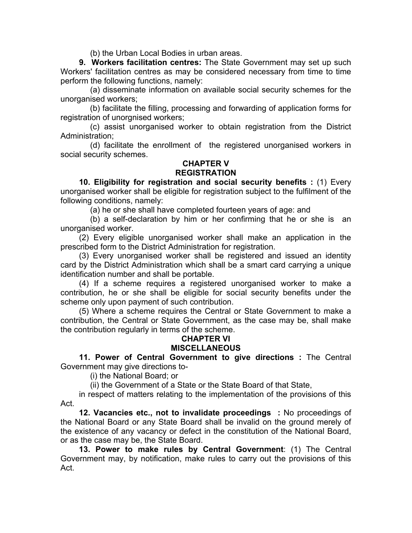(b) the Urban Local Bodies in urban areas.

**9. Workers facilitation centres:** The State Government may set up such Workers' facilitation centres as may be considered necessary from time to time perform the following functions, namely:

 (a) disseminate information on available social security schemes for the unorganised workers;

 (b) facilitate the filling, processing and forwarding of application forms for registration of unorgnised workers;

 (c) assist unorganised worker to obtain registration from the District Administration;

 (d) facilitate the enrollment of the registered unorganised workers in social security schemes.

#### **CHAPTER V REGISTRATION**

 **10. Eligibility for registration and social security benefits :** (1) Every unorganised worker shall be eligible for registration subject to the fulfilment of the following conditions, namely:

(a) he or she shall have completed fourteen years of age: and

 (b) a self-declaration by him or her confirming that he or she is an unorganised worker.

 (2) Every eligible unorganised worker shall make an application in the prescribed form to the District Administration for registration.

 (3) Every unorganised worker shall be registered and issued an identity card by the District Administration which shall be a smart card carrying a unique identification number and shall be portable.

 (4) If a scheme requires a registered unorganised worker to make a contribution, he or she shall be eligible for social security benefits under the scheme only upon payment of such contribution.

 (5) Where a scheme requires the Central or State Government to make a contribution, the Central or State Government, as the case may be, shall make the contribution regularly in terms of the scheme.

## **CHAPTER VI MISCELLANEOUS**

 **11. Power of Central Government to give directions :** The Central Government may give directions to-

(i) the National Board; or

(ii) the Government of a State or the State Board of that State,

 in respect of matters relating to the implementation of the provisions of this Act.

**12. Vacancies etc., not to invalidate proceedings :** No proceedings of the National Board or any State Board shall be invalid on the ground merely of the existence of any vacancy or defect in the constitution of the National Board, or as the case may be, the State Board.

**13. Power to make rules by Central Government**: (1) The Central Government may, by notification, make rules to carry out the provisions of this Act.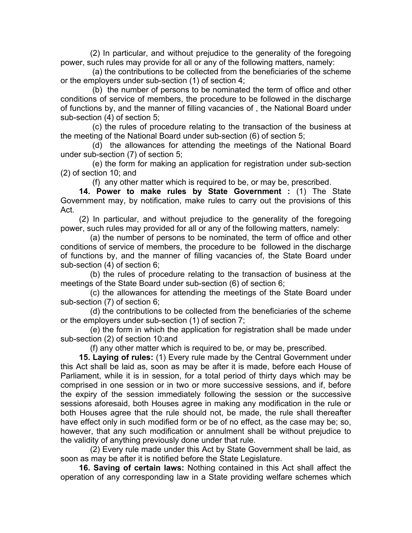(2) In particular, and without prejudice to the generality of the foregoing power, such rules may provide for all or any of the following matters, namely:

 (a) the contributions to be collected from the beneficiaries of the scheme or the employers under sub-section (1) of section 4;

 (b) the number of persons to be nominated the term of office and other conditions of service of members, the procedure to be followed in the discharge of functions by, and the manner of filling vacancies of , the National Board under sub-section (4) of section 5;

 (c) the rules of procedure relating to the transaction of the business at the meeting of the National Board under sub-section (6) of section 5;

 (d) the allowances for attending the meetings of the National Board under sub-section (7) of section 5;

 (e) the form for making an application for registration under sub-section (2) of section 10; and

(f) any other matter which is required to be, or may be, prescribed.

**14. Power to make rules by State Government :** (1) The State Government may, by notification, make rules to carry out the provisions of this Act.

 (2) In particular, and without prejudice to the generality of the foregoing power, such rules may provided for all or any of the following matters, namely:

 (a) the number of persons to be nominated, the term of office and other conditions of service of members, the procedure to be followed in the discharge of functions by, and the manner of filling vacancies of, the State Board under sub-section (4) of section 6;

 (b) the rules of procedure relating to the transaction of business at the meetings of the State Board under sub-section (6) of section 6;

 (c) the allowances for attending the meetings of the State Board under sub-section (7) of section 6;

 (d) the contributions to be collected from the beneficiaries of the scheme or the employers under sub-section (1) of section 7;

 (e) the form in which the application for registration shall be made under sub-section (2) of section 10:and

(f) any other matter which is required to be, or may be, prescribed.

**15. Laying of rules:** (1) Every rule made by the Central Government under this Act shall be laid as, soon as may be after it is made, before each House of Parliament, while it is in session, for a total period of thirty days which may be comprised in one session or in two or more successive sessions, and if, before the expiry of the session immediately following the session or the successive sessions aforesaid, both Houses agree in making any modification in the rule or both Houses agree that the rule should not, be made, the rule shall thereafter have effect only in such modified form or be of no effect, as the case may be; so, however, that any such modification or annulment shall be without prejudice to the validity of anything previously done under that rule.

 (2) Every rule made under this Act by State Government shall be laid, as soon as may be after it is notified before the State Legislature.

**16. Saving of certain laws:** Nothing contained in this Act shall affect the operation of any corresponding law in a State providing welfare schemes which